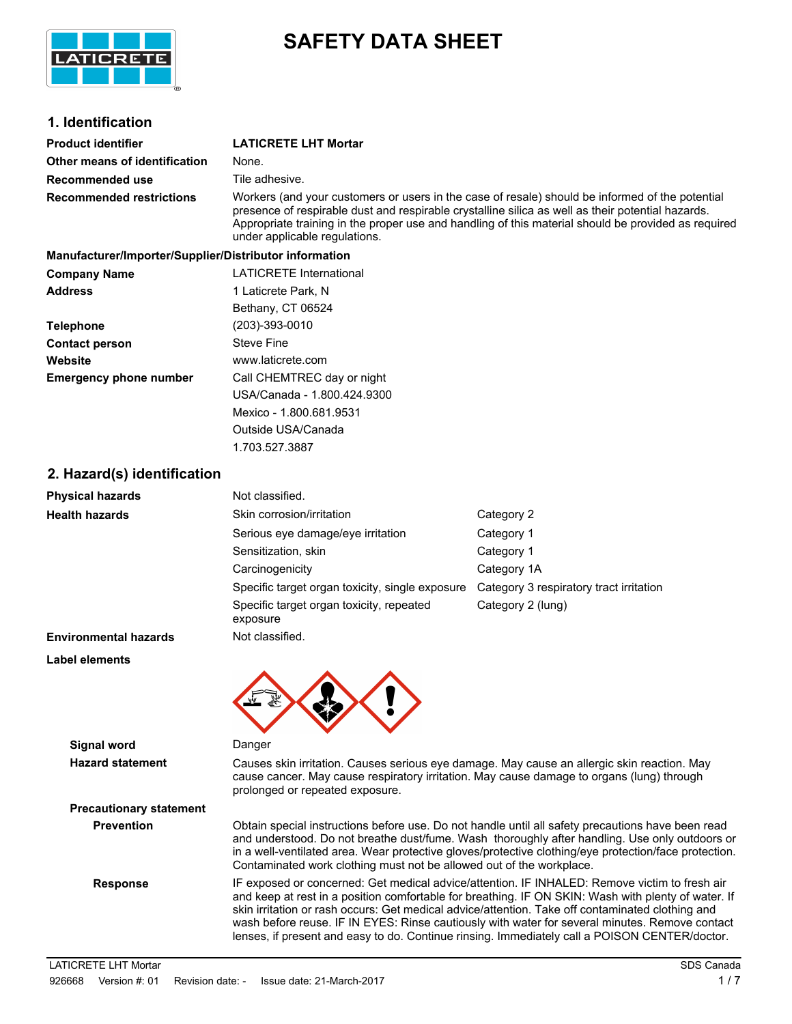

# **SAFETY DATA SHEET**

# **1. Identification**

| <b>Product identifier</b>                              | <b>LATICRETE LHT Mortar</b>                                                                                                                                                                                                                                                                                                                  |
|--------------------------------------------------------|----------------------------------------------------------------------------------------------------------------------------------------------------------------------------------------------------------------------------------------------------------------------------------------------------------------------------------------------|
| Other means of identification                          | None.                                                                                                                                                                                                                                                                                                                                        |
| Recommended use                                        | Tile adhesive.                                                                                                                                                                                                                                                                                                                               |
| <b>Recommended restrictions</b>                        | Workers (and your customers or users in the case of resale) should be informed of the potential<br>presence of respirable dust and respirable crystalline silica as well as their potential hazards.<br>Appropriate training in the proper use and handling of this material should be provided as required<br>under applicable regulations. |
| Manufacturer/Imperter/Supplier/Distributer information |                                                                                                                                                                                                                                                                                                                                              |

| <u>Manufactureminiportemouphiemoistinutor information</u> |                                |
|-----------------------------------------------------------|--------------------------------|
| <b>Company Name</b>                                       | <b>LATICRETE International</b> |
| <b>Address</b>                                            | 1 Laticrete Park, N            |
|                                                           | Bethany, CT 06524              |
| <b>Telephone</b>                                          | (203)-393-0010                 |
| <b>Contact person</b>                                     | <b>Steve Fine</b>              |
| Website                                                   | www.laticrete.com              |
| <b>Emergency phone number</b>                             | Call CHEMTREC day or night     |
|                                                           | USA/Canada - 1.800.424.9300    |
|                                                           | Mexico - 1.800.681.9531        |
|                                                           | Outside USA/Canada             |

1.703.527.3887

# **2. Hazard(s) identification**

| <b>Physical hazards</b>              | Not classified.                                                                                                              |                                                                                                                                                                                                                                                                                                                                                                                                            |
|--------------------------------------|------------------------------------------------------------------------------------------------------------------------------|------------------------------------------------------------------------------------------------------------------------------------------------------------------------------------------------------------------------------------------------------------------------------------------------------------------------------------------------------------------------------------------------------------|
| <b>Health hazards</b>                | Skin corrosion/irritation                                                                                                    | Category 2                                                                                                                                                                                                                                                                                                                                                                                                 |
|                                      | Serious eye damage/eye irritation                                                                                            | Category 1                                                                                                                                                                                                                                                                                                                                                                                                 |
|                                      | Sensitization, skin                                                                                                          | Category 1                                                                                                                                                                                                                                                                                                                                                                                                 |
|                                      | Carcinogenicity                                                                                                              | Category 1A                                                                                                                                                                                                                                                                                                                                                                                                |
|                                      | Specific target organ toxicity, single exposure                                                                              | Category 3 respiratory tract irritation                                                                                                                                                                                                                                                                                                                                                                    |
|                                      | Specific target organ toxicity, repeated<br>exposure                                                                         | Category 2 (lung)                                                                                                                                                                                                                                                                                                                                                                                          |
| <b>Environmental hazards</b>         | Not classified.                                                                                                              |                                                                                                                                                                                                                                                                                                                                                                                                            |
| Label elements<br><b>Signal word</b> | Danger                                                                                                                       |                                                                                                                                                                                                                                                                                                                                                                                                            |
| <b>Hazard statement</b>              | cause cancer. May cause respiratory irritation. May cause damage to organs (lung) through<br>prolonged or repeated exposure. | Causes skin irritation. Causes serious eye damage. May cause an allergic skin reaction. May                                                                                                                                                                                                                                                                                                                |
| <b>Precautionary statement</b>       |                                                                                                                              |                                                                                                                                                                                                                                                                                                                                                                                                            |
| <b>Prevention</b>                    | Contaminated work clothing must not be allowed out of the workplace.                                                         | Obtain special instructions before use. Do not handle until all safety precautions have been read<br>and understood. Do not breathe dust/fume. Wash thoroughly after handling. Use only outdoors or<br>in a well-ventilated area. Wear protective gloves/protective clothing/eye protection/face protection.                                                                                               |
| <b>Response</b>                      |                                                                                                                              | IF exposed or concerned: Get medical advice/attention. IF INHALED: Remove victim to fresh air<br>and keep at rest in a position comfortable for breathing. IF ON SKIN: Wash with plenty of water. If<br>skin irritation or rash occurs: Get medical advice/attention. Take off contaminated clothing and<br>wash before reuse. IF IN EYES: Rinse cautiously with water for several minutes. Remove contact |

lenses, if present and easy to do. Continue rinsing. Immediately call a POISON CENTER/doctor.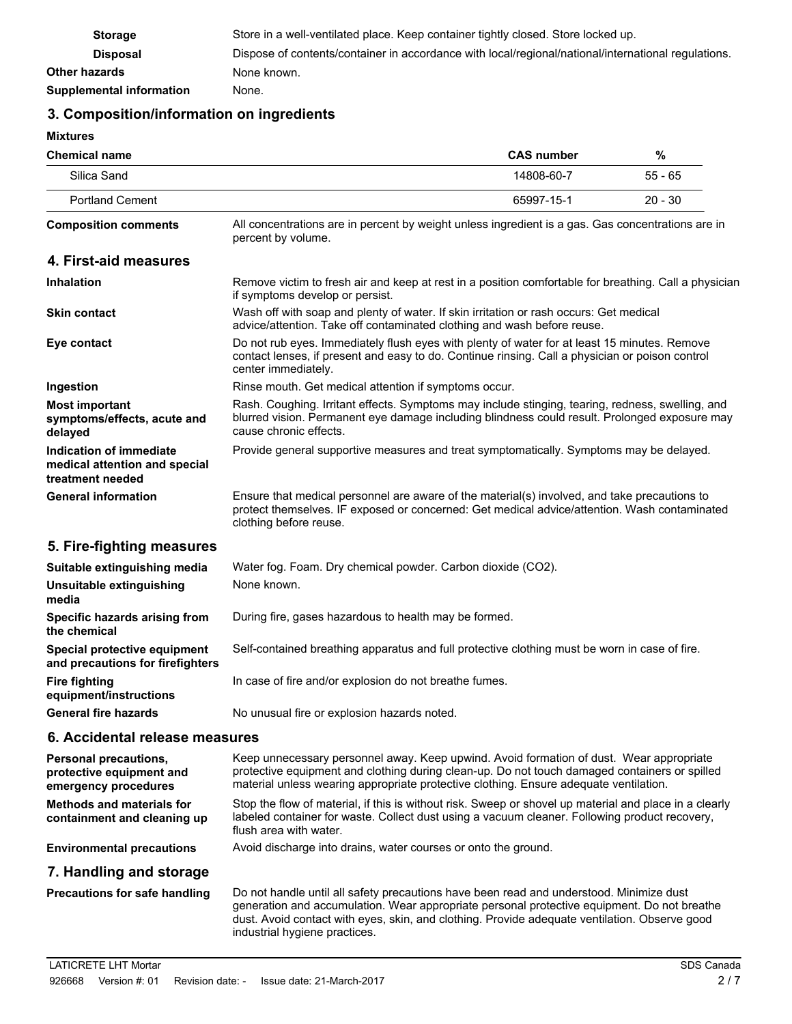| <b>Storage</b>           | Store in a well-ventilated place. Keep container tightly closed. Store locked up.                   |
|--------------------------|-----------------------------------------------------------------------------------------------------|
| <b>Disposal</b>          | Dispose of contents/container in accordance with local/regional/national/international regulations. |
| <b>Other hazards</b>     | None known.                                                                                         |
| Supplemental information | None.                                                                                               |

# **3. Composition/information on ingredients**

**Mixtures**

| MIALUI 69                                                                    |                                                                                                                                                                                                                             |                   |           |
|------------------------------------------------------------------------------|-----------------------------------------------------------------------------------------------------------------------------------------------------------------------------------------------------------------------------|-------------------|-----------|
| <b>Chemical name</b>                                                         |                                                                                                                                                                                                                             | <b>CAS number</b> | $\%$      |
| Silica Sand                                                                  |                                                                                                                                                                                                                             | 14808-60-7        | $55 - 65$ |
| <b>Portland Cement</b>                                                       |                                                                                                                                                                                                                             | 65997-15-1        | $20 - 30$ |
| <b>Composition comments</b>                                                  | All concentrations are in percent by weight unless ingredient is a gas. Gas concentrations are in<br>percent by volume.                                                                                                     |                   |           |
| 4. First-aid measures                                                        |                                                                                                                                                                                                                             |                   |           |
| <b>Inhalation</b>                                                            | Remove victim to fresh air and keep at rest in a position comfortable for breathing. Call a physician<br>if symptoms develop or persist.                                                                                    |                   |           |
| <b>Skin contact</b>                                                          | Wash off with soap and plenty of water. If skin irritation or rash occurs: Get medical<br>advice/attention. Take off contaminated clothing and wash before reuse.                                                           |                   |           |
| Eye contact                                                                  | Do not rub eyes. Immediately flush eyes with plenty of water for at least 15 minutes. Remove<br>contact lenses, if present and easy to do. Continue rinsing. Call a physician or poison control<br>center immediately.      |                   |           |
| Ingestion                                                                    | Rinse mouth. Get medical attention if symptoms occur.                                                                                                                                                                       |                   |           |
| <b>Most important</b><br>symptoms/effects, acute and<br>delayed              | Rash. Coughing. Irritant effects. Symptoms may include stinging, tearing, redness, swelling, and<br>blurred vision. Permanent eye damage including blindness could result. Prolonged exposure may<br>cause chronic effects. |                   |           |
| Indication of immediate<br>medical attention and special<br>treatment needed | Provide general supportive measures and treat symptomatically. Symptoms may be delayed.                                                                                                                                     |                   |           |
| <b>General information</b>                                                   | Ensure that medical personnel are aware of the material(s) involved, and take precautions to<br>protect themselves. IF exposed or concerned: Get medical advice/attention. Wash contaminated<br>clothing before reuse.      |                   |           |
| 5. Fire-fighting measures                                                    |                                                                                                                                                                                                                             |                   |           |
| Suitable extinguishing media                                                 | Water fog. Foam. Dry chemical powder. Carbon dioxide (CO2).                                                                                                                                                                 |                   |           |
| Unsuitable extinguishing<br>media                                            | None known.                                                                                                                                                                                                                 |                   |           |
| Specific hazards arising from<br>the chemical                                | During fire, gases hazardous to health may be formed.                                                                                                                                                                       |                   |           |
| Special protective equipment<br>and precautions for firefighters             | Self-contained breathing apparatus and full protective clothing must be worn in case of fire.                                                                                                                               |                   |           |
| <b>Fire fighting</b><br>equipment/instructions                               | In case of fire and/or explosion do not breathe fumes.                                                                                                                                                                      |                   |           |
| <b>General fire hazards</b>                                                  | No unusual fire or explosion hazards noted.                                                                                                                                                                                 |                   |           |
| 6. Accidental release measures                                               |                                                                                                                                                                                                                             |                   |           |
| <b>Personal precautions,</b><br>protective equipment and                     | Keep unnecessary personnel away. Keep upwind. Avoid formation of dust. Wear appropriate<br>protective equipment and clothing during clean-up. Do not touch damaged containers or spilled                                    |                   |           |

material unless wearing appropriate protective clothing. Ensure adequate ventilation. **emergency procedures** Stop the flow of material, if this is without risk. Sweep or shovel up material and place in a clearly labeled container for waste. Collect dust using a vacuum cleaner. Following product recovery, flush area with water. **Methods and materials for containment and cleaning up**

**Environmental precautions** Avoid discharge into drains, water courses or onto the ground.

### **7. Handling and storage**

Do not handle until all safety precautions have been read and understood. Minimize dust generation and accumulation. Wear appropriate personal protective equipment. Do not breathe dust. Avoid contact with eyes, skin, and clothing. Provide adequate ventilation. Observe good industrial hygiene practices. **Precautions for safe handling**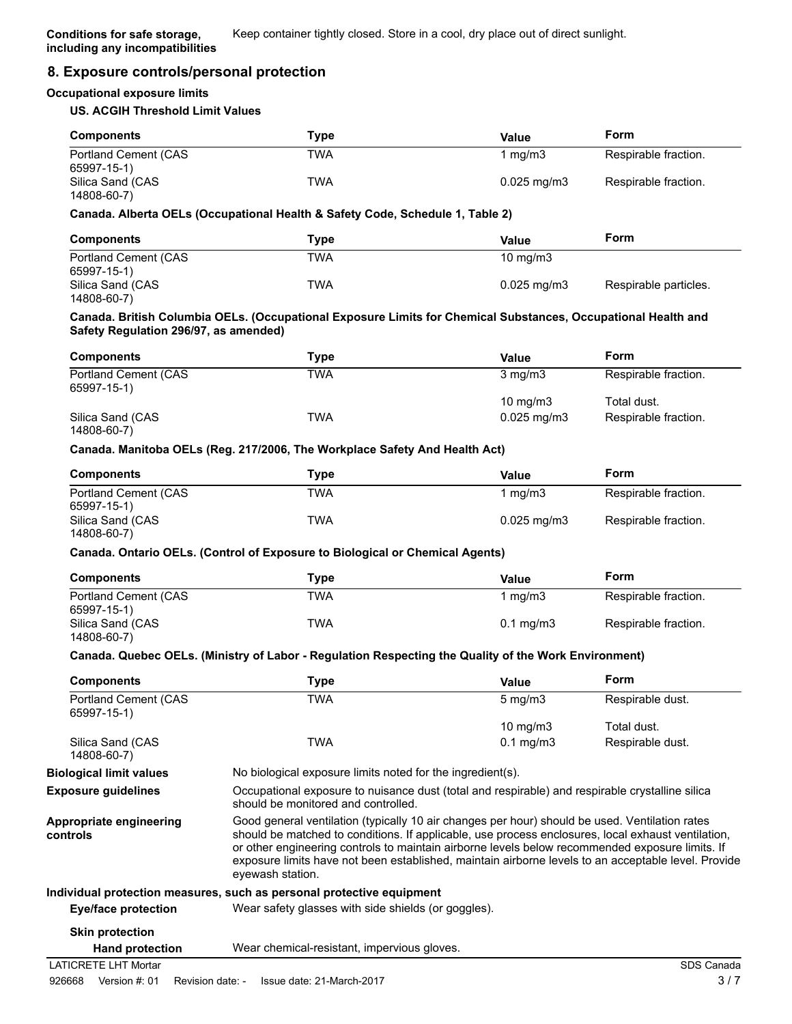# **8. Exposure controls/personal protection**

### **Occupational exposure limits**

### **US. ACGIH Threshold Limit Values**

| <b>Components</b>                   | Tvpe | Value                    | Form                 |
|-------------------------------------|------|--------------------------|----------------------|
| Portland Cement (CAS<br>65997-15-1) | TWA  | mg/m3                    | Respirable fraction. |
| Silica Sand (CAS<br>14808-60-7)     | TWA  | $0.025 \,\mathrm{mq/m3}$ | Respirable fraction. |

#### **Canada. Alberta OELs (Occupational Health & Safety Code, Schedule 1, Table 2)**

| <b>Components</b>    | Type       | Value                    | Form                  |
|----------------------|------------|--------------------------|-----------------------|
| Portland Cement (CAS | <b>TWA</b> | $10 \text{ mg/m}$        |                       |
| 65997-15-1)          |            |                          |                       |
| Silica Sand (CAS     | TWA        | $0.025 \,\mathrm{mq/m3}$ | Respirable particles. |
| 14808-60-7)          |            |                          |                       |

#### **Canada. British Columbia OELs. (Occupational Exposure Limits for Chemical Substances, Occupational Health and Safety Regulation 296/97, as amended)**

| <b>Components</b>                   | Type | Value                   | Form                 |
|-------------------------------------|------|-------------------------|----------------------|
| Portland Cement (CAS<br>65997-15-1) | TWA  | $3 \text{ mg/m}$        | Respirable fraction. |
|                                     |      | $10 \text{ mg/m}$       | Total dust.          |
| Silica Sand (CAS<br>14808-60-7)     | TWA  | $0.025 \,\mathrm{mq/m}$ | Respirable fraction. |

#### **Canada. Manitoba OELs (Reg. 217/2006, The Workplace Safety And Health Act)**

| <b>Components</b>    | Type | Value                     | Form                 |
|----------------------|------|---------------------------|----------------------|
| Portland Cement (CAS | TWA  | 1 ma/m3                   | Respirable fraction. |
| 65997-15-1)          |      |                           |                      |
| Silica Sand (CAS     | TWA  | $0.025 \,\mathrm{mq/m}$ 3 | Respirable fraction. |
| 14808-60-7)          |      |                           |                      |

### **Canada. Ontario OELs. (Control of Exposure to Biological or Chemical Agents)**

| <b>Components</b>                   | Type       | Value                | Form                 |
|-------------------------------------|------------|----------------------|----------------------|
| Portland Cement (CAS<br>65997-15-1) | <b>TWA</b> | ma/m3                | Respirable fraction. |
| Silica Sand (CAS<br>14808-60-7)     | <b>TWA</b> | $0.1 \text{ mg/m}$ 3 | Respirable fraction. |

### **Canada. Quebec OELs. (Ministry of Labor - Regulation Respecting the Quality of the Work Environment)**

| <b>Components</b>                           | Type                                                                                                                                                                                                                                                                                                                                                                                                                               | Value               | Form             |
|---------------------------------------------|------------------------------------------------------------------------------------------------------------------------------------------------------------------------------------------------------------------------------------------------------------------------------------------------------------------------------------------------------------------------------------------------------------------------------------|---------------------|------------------|
| <b>Portland Cement (CAS)</b><br>65997-15-1) | TWA                                                                                                                                                                                                                                                                                                                                                                                                                                | $5 \,\mathrm{mg/m}$ | Respirable dust. |
|                                             |                                                                                                                                                                                                                                                                                                                                                                                                                                    | 10 mg/m $3$         | Total dust.      |
| Silica Sand (CAS<br>14808-60-7)             | TWA                                                                                                                                                                                                                                                                                                                                                                                                                                | $0.1 \text{ mg/m}$  | Respirable dust. |
| <b>Biological limit values</b>              | No biological exposure limits noted for the ingredient(s).                                                                                                                                                                                                                                                                                                                                                                         |                     |                  |
| <b>Exposure guidelines</b>                  | Occupational exposure to nuisance dust (total and respirable) and respirable crystalline silica<br>should be monitored and controlled.                                                                                                                                                                                                                                                                                             |                     |                  |
| Appropriate engineering<br>controls         | Good general ventilation (typically 10 air changes per hour) should be used. Ventilation rates<br>should be matched to conditions. If applicable, use process enclosures, local exhaust ventilation,<br>or other engineering controls to maintain airborne levels below recommended exposure limits. If<br>exposure limits have not been established, maintain airborne levels to an acceptable level. Provide<br>eyewash station. |                     |                  |
|                                             | Individual protection measures, such as personal protective equipment                                                                                                                                                                                                                                                                                                                                                              |                     |                  |
| Eye/face protection                         | Wear safety glasses with side shields (or goggles).                                                                                                                                                                                                                                                                                                                                                                                |                     |                  |
| <b>Skin protection</b>                      |                                                                                                                                                                                                                                                                                                                                                                                                                                    |                     |                  |
| <b>Hand protection</b>                      | Wear chemical-resistant, impervious gloves.                                                                                                                                                                                                                                                                                                                                                                                        |                     |                  |
| <b>LATICRETE LHT Mortar</b>                 |                                                                                                                                                                                                                                                                                                                                                                                                                                    |                     | SDS Canada       |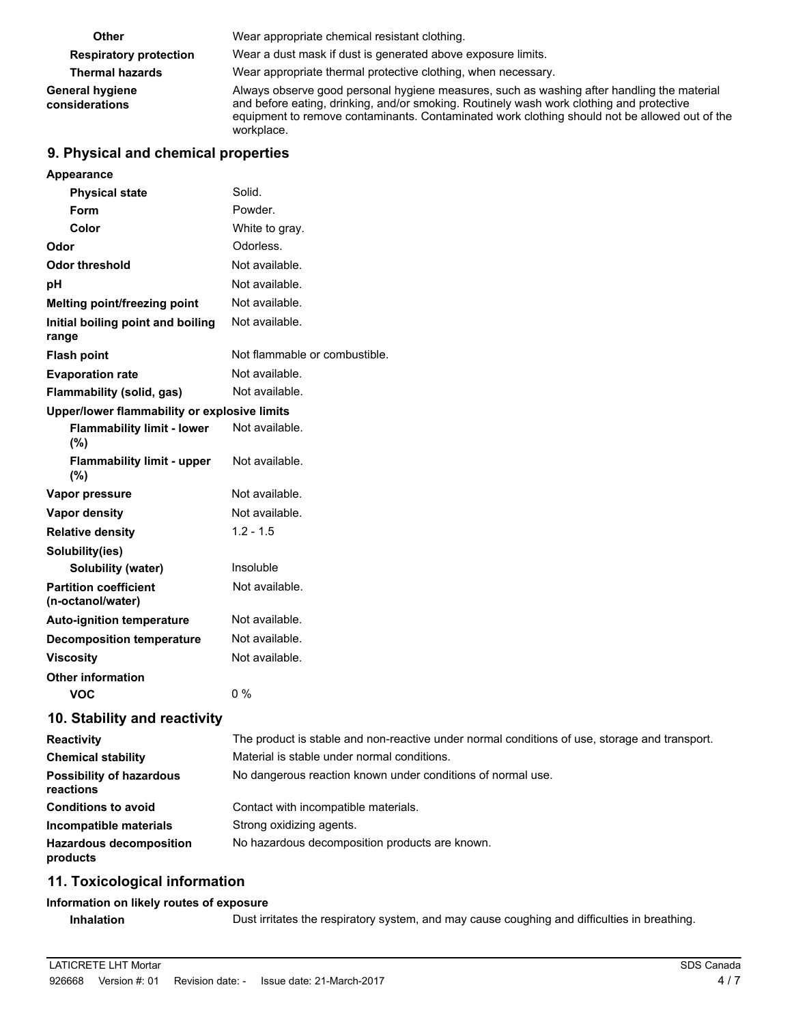| <b>Other</b>                      | Wear appropriate chemical resistant clothing.                                                                                                                                                                                                                                                         |
|-----------------------------------|-------------------------------------------------------------------------------------------------------------------------------------------------------------------------------------------------------------------------------------------------------------------------------------------------------|
| <b>Respiratory protection</b>     | Wear a dust mask if dust is generated above exposure limits.                                                                                                                                                                                                                                          |
| <b>Thermal hazards</b>            | Wear appropriate thermal protective clothing, when necessary.                                                                                                                                                                                                                                         |
| General hygiene<br>considerations | Always observe good personal hygiene measures, such as washing after handling the material<br>and before eating, drinking, and/or smoking. Routinely wash work clothing and protective<br>equipment to remove contaminants. Contaminated work clothing should not be allowed out of the<br>workplace. |

# **9. Physical and chemical properties**

| Appearance                                        |                               |
|---------------------------------------------------|-------------------------------|
| <b>Physical state</b>                             | Solid.                        |
| Form                                              | Powder.                       |
| Color                                             | White to gray.                |
| Odor                                              | Odorless.                     |
| <b>Odor threshold</b>                             | Not available.                |
| рH                                                | Not available.                |
| Melting point/freezing point                      | Not available.                |
| Initial boiling point and boiling<br>range        | Not available.                |
| <b>Flash point</b>                                | Not flammable or combustible. |
| <b>Evaporation rate</b>                           | Not available.                |
| Flammability (solid, gas)                         | Not available.                |
| Upper/lower flammability or explosive limits      |                               |
| <b>Flammability limit - lower</b><br>(%)          | Not available.                |
| <b>Flammability limit - upper</b><br>(%)          | Not available.                |
| Vapor pressure                                    | Not available.                |
| <b>Vapor density</b>                              | Not available.                |
| <b>Relative density</b>                           | $1.2 - 1.5$                   |
| Solubility(ies)                                   |                               |
| Solubility (water)                                | Insoluble                     |
| <b>Partition coefficient</b><br>(n-octanol/water) | Not available.                |
| <b>Auto-ignition temperature</b>                  | Not available.                |
| <b>Decomposition temperature</b>                  | Not available.                |
| <b>Viscosity</b>                                  | Not available.                |
| <b>Other information</b>                          |                               |
| VOC                                               | $0\%$                         |

# **10. Stability and reactivity**

| <b>Reactivity</b>                            | The product is stable and non-reactive under normal conditions of use, storage and transport. |
|----------------------------------------------|-----------------------------------------------------------------------------------------------|
| <b>Chemical stability</b>                    | Material is stable under normal conditions.                                                   |
| <b>Possibility of hazardous</b><br>reactions | No dangerous reaction known under conditions of normal use.                                   |
| <b>Conditions to avoid</b>                   | Contact with incompatible materials.                                                          |
| Incompatible materials                       | Strong oxidizing agents.                                                                      |
| <b>Hazardous decomposition</b><br>products   | No hazardous decomposition products are known.                                                |

# **11. Toxicological information**

### **Information on likely routes of exposure**

**Inhalation** Dust irritates the respiratory system, and may cause coughing and difficulties in breathing.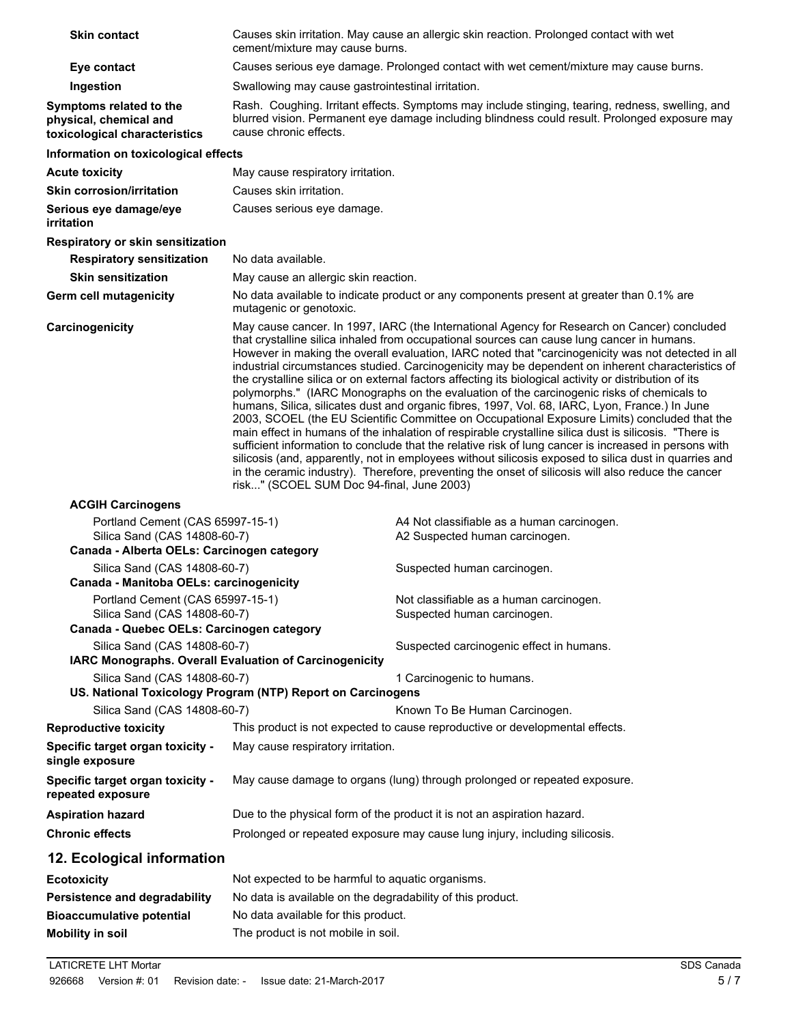| <b>Skin contact</b>                                                                    | cement/mixture may cause burns.                                            | Causes skin irritation. May cause an allergic skin reaction. Prolonged contact with wet                                                                                                                                                                                                                                                                                                                                                                                                                                                                                                                                                                                                                                                                                                                                                                                                                                                                                                                                                                                                                                                                                                                                                        |
|----------------------------------------------------------------------------------------|----------------------------------------------------------------------------|------------------------------------------------------------------------------------------------------------------------------------------------------------------------------------------------------------------------------------------------------------------------------------------------------------------------------------------------------------------------------------------------------------------------------------------------------------------------------------------------------------------------------------------------------------------------------------------------------------------------------------------------------------------------------------------------------------------------------------------------------------------------------------------------------------------------------------------------------------------------------------------------------------------------------------------------------------------------------------------------------------------------------------------------------------------------------------------------------------------------------------------------------------------------------------------------------------------------------------------------|
| Eye contact                                                                            |                                                                            | Causes serious eye damage. Prolonged contact with wet cement/mixture may cause burns.                                                                                                                                                                                                                                                                                                                                                                                                                                                                                                                                                                                                                                                                                                                                                                                                                                                                                                                                                                                                                                                                                                                                                          |
| Ingestion                                                                              | Swallowing may cause gastrointestinal irritation.                          |                                                                                                                                                                                                                                                                                                                                                                                                                                                                                                                                                                                                                                                                                                                                                                                                                                                                                                                                                                                                                                                                                                                                                                                                                                                |
| Symptoms related to the<br>physical, chemical and<br>toxicological characteristics     | cause chronic effects.                                                     | Rash. Coughing. Irritant effects. Symptoms may include stinging, tearing, redness, swelling, and<br>blurred vision. Permanent eye damage including blindness could result. Prolonged exposure may                                                                                                                                                                                                                                                                                                                                                                                                                                                                                                                                                                                                                                                                                                                                                                                                                                                                                                                                                                                                                                              |
| Information on toxicological effects                                                   |                                                                            |                                                                                                                                                                                                                                                                                                                                                                                                                                                                                                                                                                                                                                                                                                                                                                                                                                                                                                                                                                                                                                                                                                                                                                                                                                                |
| <b>Acute toxicity</b>                                                                  | May cause respiratory irritation.                                          |                                                                                                                                                                                                                                                                                                                                                                                                                                                                                                                                                                                                                                                                                                                                                                                                                                                                                                                                                                                                                                                                                                                                                                                                                                                |
| <b>Skin corrosion/irritation</b>                                                       | Causes skin irritation.                                                    |                                                                                                                                                                                                                                                                                                                                                                                                                                                                                                                                                                                                                                                                                                                                                                                                                                                                                                                                                                                                                                                                                                                                                                                                                                                |
| Serious eye damage/eye<br>irritation                                                   | Causes serious eye damage.                                                 |                                                                                                                                                                                                                                                                                                                                                                                                                                                                                                                                                                                                                                                                                                                                                                                                                                                                                                                                                                                                                                                                                                                                                                                                                                                |
| Respiratory or skin sensitization                                                      |                                                                            |                                                                                                                                                                                                                                                                                                                                                                                                                                                                                                                                                                                                                                                                                                                                                                                                                                                                                                                                                                                                                                                                                                                                                                                                                                                |
| <b>Respiratory sensitization</b>                                                       | No data available.                                                         |                                                                                                                                                                                                                                                                                                                                                                                                                                                                                                                                                                                                                                                                                                                                                                                                                                                                                                                                                                                                                                                                                                                                                                                                                                                |
| <b>Skin sensitization</b>                                                              | May cause an allergic skin reaction.                                       |                                                                                                                                                                                                                                                                                                                                                                                                                                                                                                                                                                                                                                                                                                                                                                                                                                                                                                                                                                                                                                                                                                                                                                                                                                                |
| Germ cell mutagenicity                                                                 | mutagenic or genotoxic.                                                    | No data available to indicate product or any components present at greater than 0.1% are                                                                                                                                                                                                                                                                                                                                                                                                                                                                                                                                                                                                                                                                                                                                                                                                                                                                                                                                                                                                                                                                                                                                                       |
| Carcinogenicity                                                                        | risk" (SCOEL SUM Doc 94-final, June 2003)                                  | May cause cancer. In 1997, IARC (the International Agency for Research on Cancer) concluded<br>that crystalline silica inhaled from occupational sources can cause lung cancer in humans.<br>However in making the overall evaluation, IARC noted that "carcinogenicity was not detected in all<br>industrial circumstances studied. Carcinogenicity may be dependent on inherent characteristics of<br>the crystalline silica or on external factors affecting its biological activity or distribution of its<br>polymorphs." (IARC Monographs on the evaluation of the carcinogenic risks of chemicals to<br>humans, Silica, silicates dust and organic fibres, 1997, Vol. 68, IARC, Lyon, France.) In June<br>2003, SCOEL (the EU Scientific Committee on Occupational Exposure Limits) concluded that the<br>main effect in humans of the inhalation of respirable crystalline silica dust is silicosis. "There is<br>sufficient information to conclude that the relative risk of lung cancer is increased in persons with<br>silicosis (and, apparently, not in employees without silicosis exposed to silica dust in quarries and<br>in the ceramic industry). Therefore, preventing the onset of silicosis will also reduce the cancer |
| <b>ACGIH Carcinogens</b>                                                               |                                                                            |                                                                                                                                                                                                                                                                                                                                                                                                                                                                                                                                                                                                                                                                                                                                                                                                                                                                                                                                                                                                                                                                                                                                                                                                                                                |
| Portland Cement (CAS 65997-15-1)<br>Silica Sand (CAS 14808-60-7)                       |                                                                            | A4 Not classifiable as a human carcinogen.<br>A2 Suspected human carcinogen.                                                                                                                                                                                                                                                                                                                                                                                                                                                                                                                                                                                                                                                                                                                                                                                                                                                                                                                                                                                                                                                                                                                                                                   |
| Canada - Alberta OELs: Carcinogen category                                             |                                                                            |                                                                                                                                                                                                                                                                                                                                                                                                                                                                                                                                                                                                                                                                                                                                                                                                                                                                                                                                                                                                                                                                                                                                                                                                                                                |
| Silica Sand (CAS 14808-60-7)<br>Canada - Manitoba OELs: carcinogenicity                |                                                                            | Suspected human carcinogen.                                                                                                                                                                                                                                                                                                                                                                                                                                                                                                                                                                                                                                                                                                                                                                                                                                                                                                                                                                                                                                                                                                                                                                                                                    |
| Portland Cement (CAS 65997-15-1)<br>Silica Sand (CAS 14808-60-7)                       |                                                                            | Not classifiable as a human carcinogen.<br>Suspected human carcinogen.                                                                                                                                                                                                                                                                                                                                                                                                                                                                                                                                                                                                                                                                                                                                                                                                                                                                                                                                                                                                                                                                                                                                                                         |
| Canada - Quebec OELs: Carcinogen category                                              |                                                                            |                                                                                                                                                                                                                                                                                                                                                                                                                                                                                                                                                                                                                                                                                                                                                                                                                                                                                                                                                                                                                                                                                                                                                                                                                                                |
| Silica Sand (CAS 14808-60-7)<br>IARC Monographs. Overall Evaluation of Carcinogenicity |                                                                            | Suspected carcinogenic effect in humans.                                                                                                                                                                                                                                                                                                                                                                                                                                                                                                                                                                                                                                                                                                                                                                                                                                                                                                                                                                                                                                                                                                                                                                                                       |
| Silica Sand (CAS 14808-60-7)                                                           |                                                                            | 1 Carcinogenic to humans.                                                                                                                                                                                                                                                                                                                                                                                                                                                                                                                                                                                                                                                                                                                                                                                                                                                                                                                                                                                                                                                                                                                                                                                                                      |
| Silica Sand (CAS 14808-60-7)                                                           | US. National Toxicology Program (NTP) Report on Carcinogens                |                                                                                                                                                                                                                                                                                                                                                                                                                                                                                                                                                                                                                                                                                                                                                                                                                                                                                                                                                                                                                                                                                                                                                                                                                                                |
| <b>Reproductive toxicity</b>                                                           |                                                                            | Known To Be Human Carcinogen.<br>This product is not expected to cause reproductive or developmental effects.                                                                                                                                                                                                                                                                                                                                                                                                                                                                                                                                                                                                                                                                                                                                                                                                                                                                                                                                                                                                                                                                                                                                  |
| Specific target organ toxicity -<br>single exposure                                    | May cause respiratory irritation.                                          |                                                                                                                                                                                                                                                                                                                                                                                                                                                                                                                                                                                                                                                                                                                                                                                                                                                                                                                                                                                                                                                                                                                                                                                                                                                |
| Specific target organ toxicity -<br>repeated exposure                                  |                                                                            | May cause damage to organs (lung) through prolonged or repeated exposure.                                                                                                                                                                                                                                                                                                                                                                                                                                                                                                                                                                                                                                                                                                                                                                                                                                                                                                                                                                                                                                                                                                                                                                      |
| <b>Aspiration hazard</b>                                                               | Due to the physical form of the product it is not an aspiration hazard.    |                                                                                                                                                                                                                                                                                                                                                                                                                                                                                                                                                                                                                                                                                                                                                                                                                                                                                                                                                                                                                                                                                                                                                                                                                                                |
| <b>Chronic effects</b>                                                                 | Prolonged or repeated exposure may cause lung injury, including silicosis. |                                                                                                                                                                                                                                                                                                                                                                                                                                                                                                                                                                                                                                                                                                                                                                                                                                                                                                                                                                                                                                                                                                                                                                                                                                                |
| 12. Ecological information                                                             |                                                                            |                                                                                                                                                                                                                                                                                                                                                                                                                                                                                                                                                                                                                                                                                                                                                                                                                                                                                                                                                                                                                                                                                                                                                                                                                                                |
| <b>Ecotoxicity</b>                                                                     | Not expected to be harmful to aquatic organisms.                           |                                                                                                                                                                                                                                                                                                                                                                                                                                                                                                                                                                                                                                                                                                                                                                                                                                                                                                                                                                                                                                                                                                                                                                                                                                                |
| Persistence and degradability                                                          | No data is available on the degradability of this product.                 |                                                                                                                                                                                                                                                                                                                                                                                                                                                                                                                                                                                                                                                                                                                                                                                                                                                                                                                                                                                                                                                                                                                                                                                                                                                |
| <b>Bioaccumulative potential</b>                                                       | No data available for this product.                                        |                                                                                                                                                                                                                                                                                                                                                                                                                                                                                                                                                                                                                                                                                                                                                                                                                                                                                                                                                                                                                                                                                                                                                                                                                                                |
| <b>Mobility in soil</b>                                                                | The product is not mobile in soil.                                         |                                                                                                                                                                                                                                                                                                                                                                                                                                                                                                                                                                                                                                                                                                                                                                                                                                                                                                                                                                                                                                                                                                                                                                                                                                                |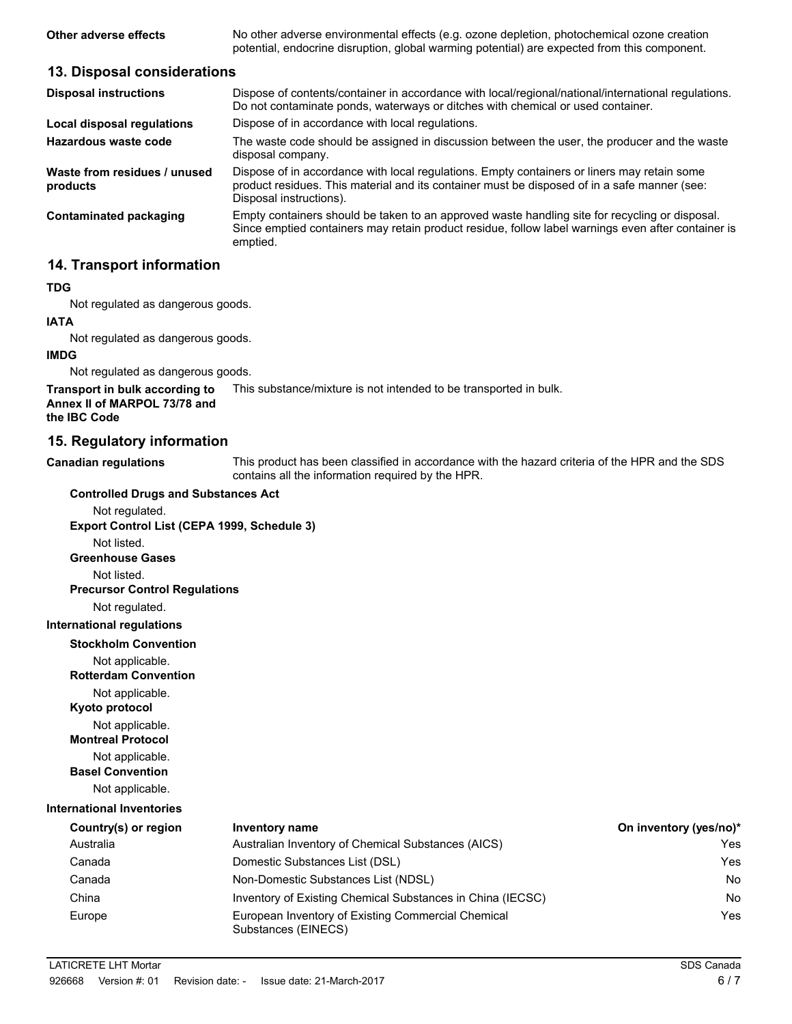**Other adverse effects** No other adverse environmental effects (e.g. ozone depletion, photochemical ozone creation potential, endocrine disruption, global warming potential) are expected from this component.

### **13. Disposal considerations**

| <b>Disposal instructions</b>             | Dispose of contents/container in accordance with local/regional/national/international regulations.<br>Do not contaminate ponds, waterways or ditches with chemical or used container.                                 |
|------------------------------------------|------------------------------------------------------------------------------------------------------------------------------------------------------------------------------------------------------------------------|
| Local disposal regulations               | Dispose of in accordance with local regulations.                                                                                                                                                                       |
| Hazardous waste code                     | The waste code should be assigned in discussion between the user, the producer and the waste<br>disposal company.                                                                                                      |
| Waste from residues / unused<br>products | Dispose of in accordance with local regulations. Empty containers or liners may retain some<br>product residues. This material and its container must be disposed of in a safe manner (see:<br>Disposal instructions). |
| Contaminated packaging                   | Empty containers should be taken to an approved waste handling site for recycling or disposal.<br>Since emptied containers may retain product residue, follow label warnings even after container is<br>emptied.       |

# **14. Transport information**

#### **TDG**

Not regulated as dangerous goods.

#### **IATA**

Not regulated as dangerous goods.

#### **IMDG**

Not regulated as dangerous goods.

**Transport in bulk according to** This substance/mixture is not intended to be transported in bulk.

**Annex II of MARPOL 73/78 and the IBC Code**

### **15. Regulatory information**

| <b>Canadian regulations</b> | This product has been classified in accordance with the hazard criteria of the HPR and the SDS |
|-----------------------------|------------------------------------------------------------------------------------------------|
|                             | contains all the information required by the HPR.                                              |

### **Controlled Drugs and Substances Act**

Not regulated. **Export Control List (CEPA 1999, Schedule 3)** Not listed. **Greenhouse Gases** Not listed. **Precursor Control Regulations** Not regulated. **International regulations Stockholm Convention** Not applicable. **Rotterdam Convention** Not applicable.

**Kyoto protocol**

Not applicable.

**Montreal Protocol**

Not applicable. **Basel Convention**

Not applicable.

# **International Inventories**

| Country(s) or region | Inventory name                                                            | On inventory (yes/no)* |
|----------------------|---------------------------------------------------------------------------|------------------------|
| Australia            | Australian Inventory of Chemical Substances (AICS)                        | Yes                    |
| Canada               | Domestic Substances List (DSL)                                            | Yes                    |
| Canada               | Non-Domestic Substances List (NDSL)                                       | No                     |
| China                | Inventory of Existing Chemical Substances in China (IECSC)                | No                     |
| Europe               | European Inventory of Existing Commercial Chemical<br>Substances (EINECS) | Yes                    |